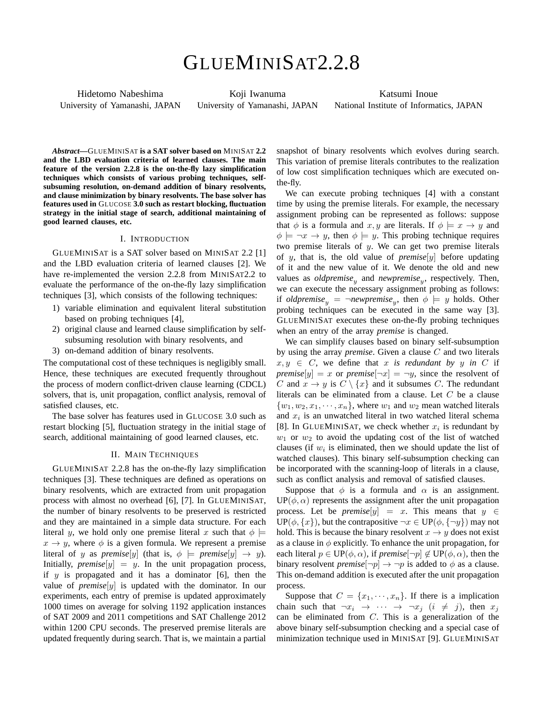# GLUEMINISAT2.2.8

Hidetomo Nabeshima University of Yamanashi, JAPAN

Koji Iwanuma University of Yamanashi, JAPAN

Katsumi Inoue National Institute of Informatics, JAPAN

*Abstract***—**GLUEMINISAT **is a SAT solver based on** MINISAT **2.2 and the LBD evaluation criteria of learned clauses. The main feature of the version 2.2.8 is the on-the-fly lazy simplification techniques which consists of various probing techniques, selfsubsuming resolution, on-demand addition of binary resolvents, and clause minimization by binary resolvents. The base solver has features used in** GLUCOSE **3.0 such as restart blocking, fluctuation strategy in the initial stage of search, additional maintaining of good learned clauses, etc.**

## I. INTRODUCTION

GLUEMINISAT is a SAT solver based on MINISAT 2.2 [1] and the LBD evaluation criteria of learned clauses [2]. We have re-implemented the version 2.2.8 from MINISAT2.2 to evaluate the performance of the on-the-fly lazy simplification techniques [3], which consists of the following techniques:

- 1) variable elimination and equivalent literal substitution based on probing techniques [4],
- 2) original clause and learned clause simplification by selfsubsuming resolution with binary resolvents, and
- 3) on-demand addition of binary resolvents.

The computational cost of these techniques is negligibly small. Hence, these techniques are executed frequently throughout the process of modern conflict-driven clause learning (CDCL) solvers, that is, unit propagation, conflict analysis, removal of satisfied clauses, etc.

The base solver has features used in GLUCOSE 3.0 such as restart blocking [5], fluctuation strategy in the initial stage of search, additional maintaining of good learned clauses, etc.

#### II. MAIN TECHNIQUES

GLUEMINISAT 2.2.8 has the on-the-fly lazy simplification techniques [3]. These techniques are defined as operations on binary resolvents, which are extracted from unit propagation process with almost no overhead [6], [7]. In GLUEMINISAT, the number of binary resolvents to be preserved is restricted and they are maintained in a simple data structure. For each literal *y*, we hold only one premise literal *x* such that  $\phi$  $x \rightarrow y$ , where  $\phi$  is a given formula. We represent a premise literal of *y* as *premise*[*y*] (that is,  $\phi \models \text{premise}[y] \rightarrow y$ ). Initially, *premise*[ $y$ ] =  $y$ . In the unit propagation process, if *y* is propagated and it has a dominator [6], then the value of *premise*[*y*] is updated with the dominator. In our experiments, each entry of premise is updated approximately 1000 times on average for solving 1192 application instances of SAT 2009 and 2011 competitions and SAT Challenge 2012 within 1200 CPU seconds. The preserved premise literals are updated frequently during search. That is, we maintain a partial snapshot of binary resolvents which evolves during search. This variation of premise literals contributes to the realization of low cost simplification techniques which are executed onthe-fly.

We can execute probing techniques [4] with a constant time by using the premise literals. For example, the necessary assignment probing can be represented as follows: suppose that  $\phi$  is a formula and *x, y* are literals. If  $\phi \models x \rightarrow y$  and  $\phi \models \neg x \rightarrow y$ , then  $\phi \models y$ . This probing technique requires two premise literals of *y*. We can get two premise literals of *y*, that is, the old value of *premise*[*y*] before updating of it and the new value of it. We denote the old and new values as *oldpremise<sup>y</sup>* and *newpremise<sup>y</sup>* , respectively. Then, we can execute the necessary assignment probing as follows: if *oldpremise*<sub>y</sub> =  $\neg$ *newpremise*<sub>y</sub>, then  $\phi \models y$  holds. Other probing techniques can be executed in the same way [3]. GLUEMINISAT executes these on-the-fly probing techniques when an entry of the array *premise* is changed.

We can simplify clauses based on binary self-subsumption by using the array *premise*. Given a clause *C* and two literals  $x, y \in C$ , we define that *x is redundant by y in C* if *premise*[ $y$ ] = *x* or *premise*[ $\neg x$ ] =  $\neg y$ , since the resolvent of *C* and  $x \to y$  is  $C \setminus \{x\}$  and it subsumes *C*. The redundant literals can be eliminated from a clause. Let *C* be a clause  $\{w_1, w_2, x_1, \cdots, x_n\}$ , where  $w_1$  and  $w_2$  mean watched literals and *x<sup>i</sup>* is an unwatched literal in two watched literal schema [8]. In GLUEMINISAT, we check whether  $x_i$  is redundant by  $w_1$  or  $w_2$  to avoid the updating cost of the list of watched clauses (if  $w_i$  is eliminated, then we should update the list of watched clauses). This binary self-subsumption checking can be incorporated with the scanning-loop of literals in a clause, such as conflict analysis and removal of satisfied clauses.

Suppose that  $\phi$  is a formula and  $\alpha$  is an assignment.  $UP(\phi, \alpha)$  represents the assignment after the unit propagation process. Let be *premise*[ $y$ ] =  $x$ . This means that  $y \in$ UP( $\phi$ ,  $\{x\}$ ), but the contrapositive  $\neg x \in UP(\phi, \{\neg y\})$  may not hold. This is because the binary resolvent  $x \to y$  does not exist as a clause in  $\phi$  explicitly. To enhance the unit propagation, for each literal  $p \in UP(\phi, \alpha)$ , if *premise* $[\neg p] \notin UP(\phi, \alpha)$ , then the binary resolvent *premise* $[\neg p] \rightarrow \neg p$  is added to  $\phi$  as a clause. This on-demand addition is executed after the unit propagation process.

Suppose that  $C = \{x_1, \dots, x_n\}$ . If there is a implication chain such that  $\neg x_i \rightarrow \cdots \rightarrow \neg x_i$  (*i*  $\not= j$ ), then  $x_i$ can be eliminated from *C*. This is a generalization of the above binary self-subsumption checking and a special case of minimization technique used in MINISAT [9]. GLUEMINISAT